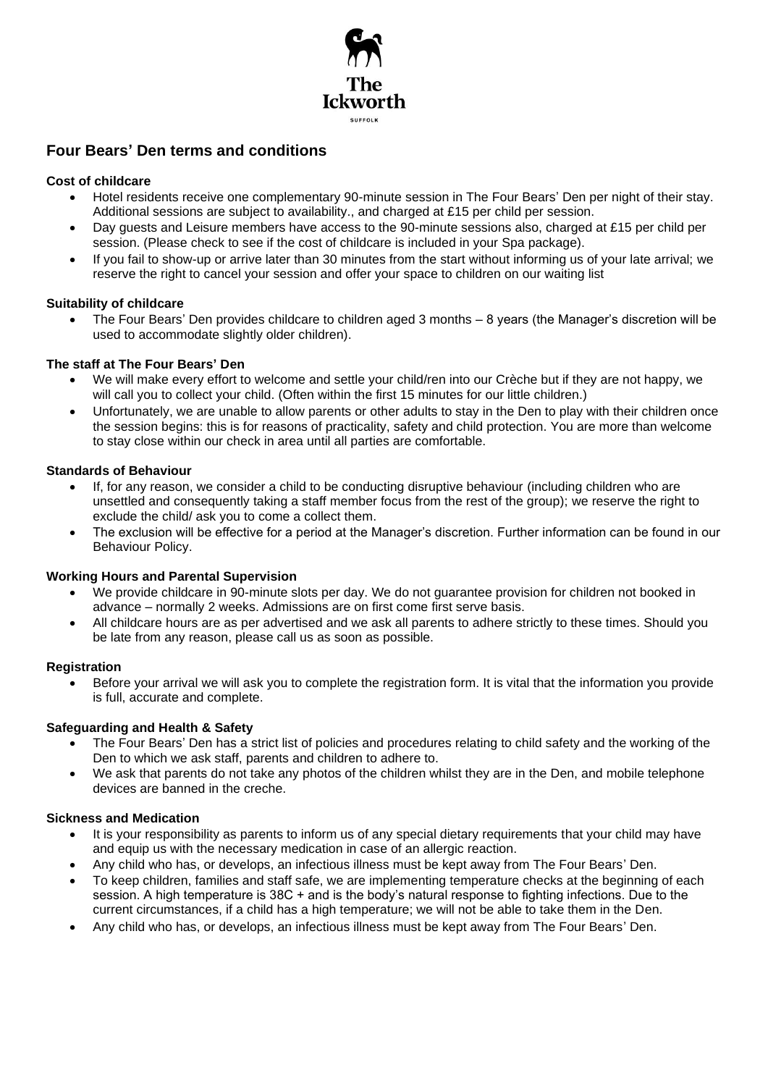

# **Four Bears' Den terms and conditions**

# **Cost of childcare**

- Hotel residents receive one complementary 90-minute session in The Four Bears' Den per night of their stay. Additional sessions are subject to availability., and charged at £15 per child per session.
- Day guests and Leisure members have access to the 90-minute sessions also, charged at £15 per child per session. (Please check to see if the cost of childcare is included in your Spa package).
- If you fail to show-up or arrive later than 30 minutes from the start without informing us of your late arrival; we reserve the right to cancel your session and offer your space to children on our waiting list

## **Suitability of childcare**

• The Four Bears' Den provides childcare to children aged 3 months – 8 years (the Manager's discretion will be used to accommodate slightly older children).

## **The staff at The Four Bears' Den**

- We will make every effort to welcome and settle your child/ren into our Crèche but if they are not happy, we will call you to collect your child. (Often within the first 15 minutes for our little children.)
- Unfortunately, we are unable to allow parents or other adults to stay in the Den to play with their children once the session begins: this is for reasons of practicality, safety and child protection. You are more than welcome to stay close within our check in area until all parties are comfortable.

## **Standards of Behaviour**

- If, for any reason, we consider a child to be conducting disruptive behaviour (including children who are unsettled and consequently taking a staff member focus from the rest of the group); we reserve the right to exclude the child/ ask you to come a collect them.
- The exclusion will be effective for a period at the Manager's discretion. Further information can be found in our Behaviour Policy.

#### **Working Hours and Parental Supervision**

- We provide childcare in 90-minute slots per day. We do not guarantee provision for children not booked in advance – normally 2 weeks. Admissions are on first come first serve basis.
- All childcare hours are as per advertised and we ask all parents to adhere strictly to these times. Should you be late from any reason, please call us as soon as possible.

#### **Registration**

• Before your arrival we will ask you to complete the registration form. It is vital that the information you provide is full, accurate and complete.

## **Safeguarding and Health & Safety**

- The Four Bears' Den has a strict list of policies and procedures relating to child safety and the working of the Den to which we ask staff, parents and children to adhere to.
- We ask that parents do not take any photos of the children whilst they are in the Den, and mobile telephone devices are banned in the creche.

#### **Sickness and Medication**

- It is your responsibility as parents to inform us of any special dietary requirements that your child may have and equip us with the necessary medication in case of an allergic reaction.
- Any child who has, or develops, an infectious illness must be kept away from The Four Bears' Den.
- To keep children, families and staff safe, we are implementing temperature checks at the beginning of each session. A high temperature is 38C + and is the body's natural response to fighting infections. Due to the current circumstances, if a child has a high temperature; we will not be able to take them in the Den.
- Any child who has, or develops, an infectious illness must be kept away from The Four Bears' Den.